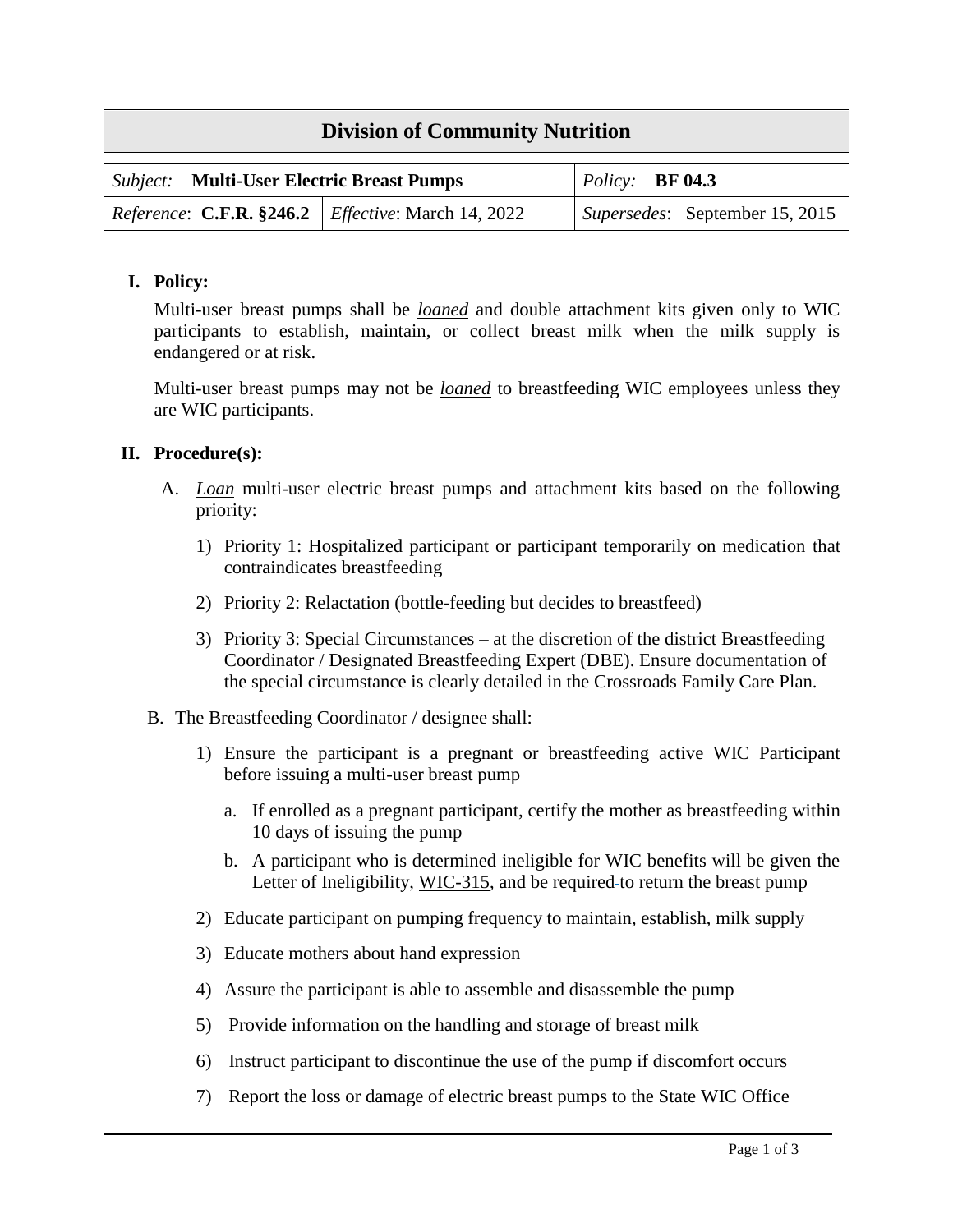| <b>Division of Community Nutrition</b>                             |  |                                      |  |  |
|--------------------------------------------------------------------|--|--------------------------------------|--|--|
| <b>Subject:</b> Multi-User Electric Breast Pumps                   |  | $\mid$ <i>Policy:</i> <b>BF 04.3</b> |  |  |
| <i>Reference:</i> C.F.R. $$246.2$ <i>Effective:</i> March 14, 2022 |  | Supersedes: September 15, 2015       |  |  |

## **I. Policy:**

Multi-user breast pumps shall be *loaned* and double attachment kits given only to WIC participants to establish, maintain, or collect breast milk when the milk supply is endangered or at risk.

Multi-user breast pumps may not be *loaned* to breastfeeding WIC employees unless they are WIC participants.

## **II. Procedure(s):**

- A. *Loan* multi-user electric breast pumps and attachment kits based on the following priority:
	- 1) Priority 1: Hospitalized participant or participant temporarily on medication that contraindicates breastfeeding
	- 2) Priority 2: Relactation (bottle-feeding but decides to breastfeed)
	- 3) Priority 3: Special Circumstances at the discretion of the district Breastfeeding Coordinator / Designated Breastfeeding Expert (DBE). Ensure documentation of the special circumstance is clearly detailed in the Crossroads Family Care Plan.
- B. The Breastfeeding Coordinator / designee shall:
	- 1) Ensure the participant is a pregnant or breastfeeding active WIC Participant before issuing a multi-user breast pump
		- a. If enrolled as a pregnant participant, certify the mother as breastfeeding within 10 days of issuing the pump
		- b. A participant who is determined ineligible for WIC benefits will be given the Letter of Ineligibility, [WIC-315,](file:///C:/Users/AppData/Local/Temp/Temp1_Submitted%20April%202020%20(1).zip/Downloads/BF%2004.3-C%20Draft.doc) and be required-to return the breast pump
	- 2) Educate participant on pumping frequency to maintain, establish, milk supply
	- 3) Educate mothers about hand expression
	- 4) Assure the participant is able to assemble and disassemble the pump
	- 5) Provide information on the handling and storage of breast milk
	- 6) Instruct participant to discontinue the use of the pump if discomfort occurs
	- 7) Report the loss or damage of electric breast pumps to the State WIC Office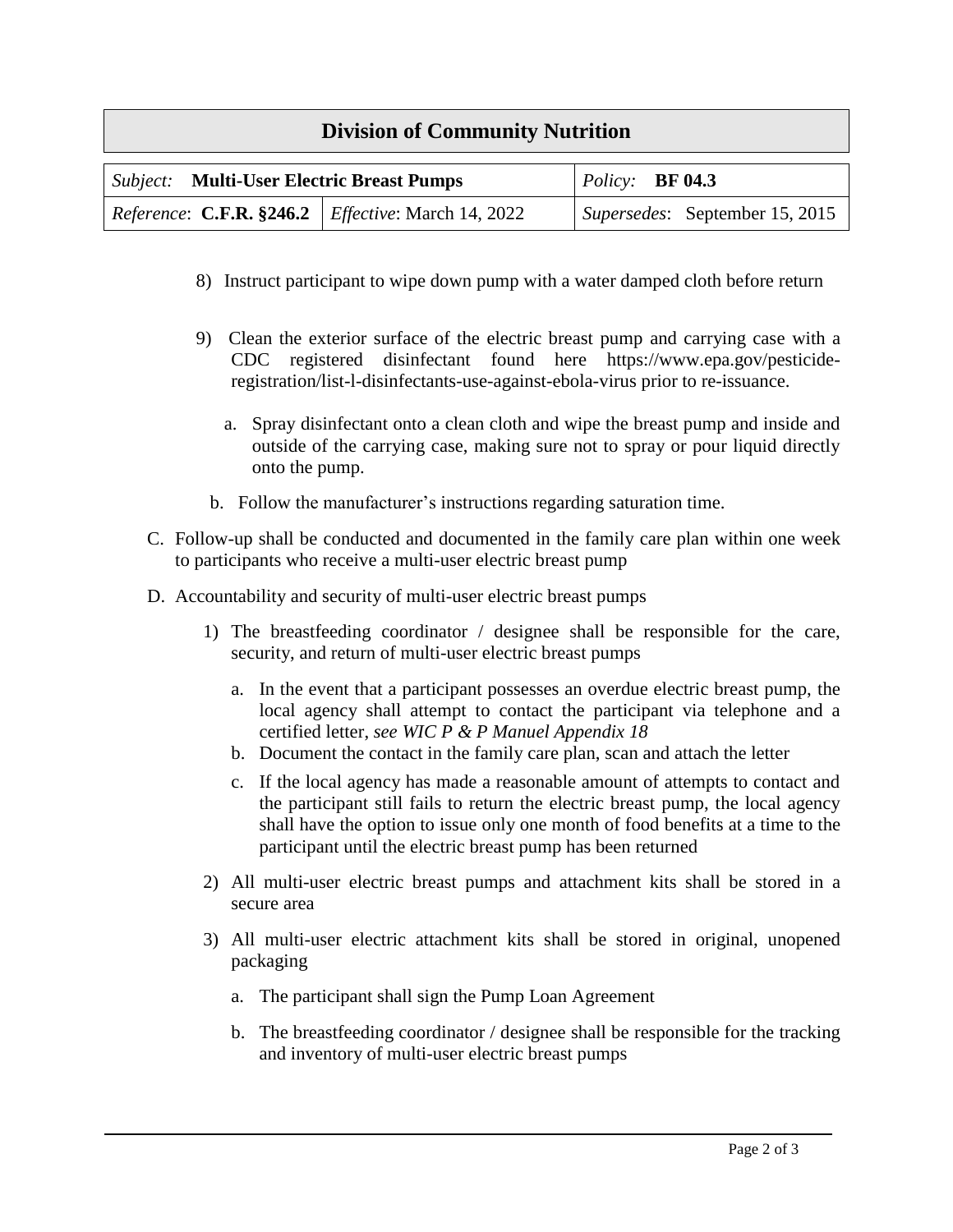## **Division of Community Nutrition**

| <b>Subject:</b> Multi-User Electric Breast Pumps                          |  | $\vert$ Policy: BF 04.3 |                                |
|---------------------------------------------------------------------------|--|-------------------------|--------------------------------|
| <i>Reference</i> : <b>C.F.R.</b> §246.2 <i>Effective</i> : March 14, 2022 |  |                         | Supersedes: September 15, 2015 |

- 8) Instruct participant to wipe down pump with a water damped cloth before return
- 9) Clean the exterior surface of the electric breast pump and carrying case with a CDC registered disinfectant found here https://www.epa.gov/pesticideregistration/list-l-disinfectants-use-against-ebola-virus prior to re-issuance.
	- a. Spray disinfectant onto a clean cloth and wipe the breast pump and inside and outside of the carrying case, making sure not to spray or pour liquid directly onto the pump.
	- b. Follow the manufacturer's instructions regarding saturation time.
- C. Follow-up shall be conducted and documented in the family care plan within one week to participants who receive a multi-user electric breast pump
- D. Accountability and security of multi-user electric breast pumps
	- 1) The breastfeeding coordinator / designee shall be responsible for the care, security, and return of multi-user electric breast pumps
		- a. In the event that a participant possesses an overdue electric breast pump, the local agency shall attempt to contact the participant via telephone and a certified letter, *see WIC P & P Manuel Appendix 18*
		- b. Document the contact in the family care plan, scan and attach the letter
		- c. If the local agency has made a reasonable amount of attempts to contact and the participant still fails to return the electric breast pump, the local agency shall have the option to issue only one month of food benefits at a time to the participant until the electric breast pump has been returned
	- 2) All multi-user electric breast pumps and attachment kits shall be stored in a secure area
	- 3) All multi-user electric attachment kits shall be stored in original, unopened packaging
		- a. The participant shall sign the Pump Loan Agreement
		- b. The breastfeeding coordinator / designee shall be responsible for the tracking and inventory of multi-user electric breast pumps